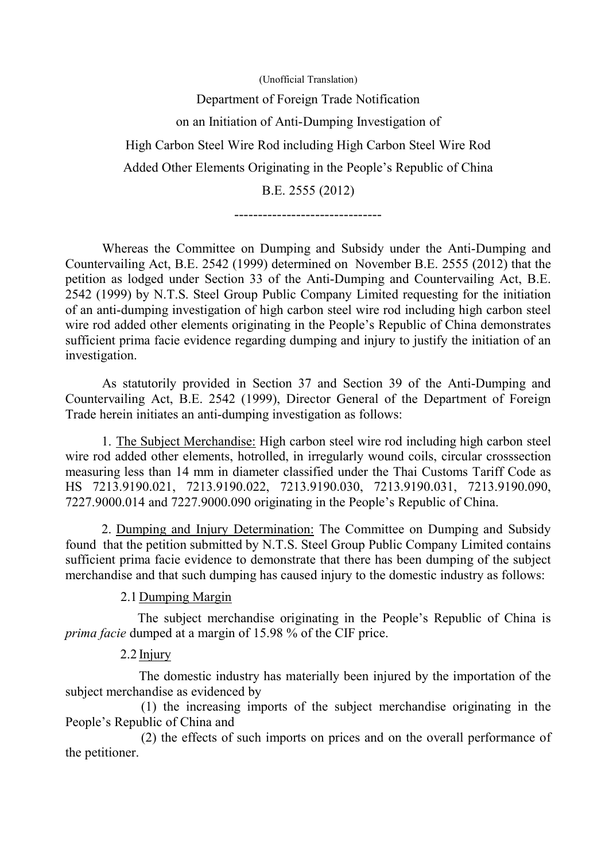(Unofficial Translation) Department of Foreign Trade Notification on an Initiation of Anti-Dumping Investigation of High Carbon Steel Wire Rod including High Carbon Steel Wire Rod Added Other Elements Originating in the People's Republic of China B.E. 2555 (2012)

-------------------------------

Whereas the Committee on Dumping and Subsidy under the Anti-Dumping and Countervailing Act, B.E. 2542 (1999) determined on November B.E. 2555 (2012) that the petition as lodged under Section 33 of the Anti-Dumping and Countervailing Act, B.E. 2542 (1999) by N.T.S. Steel Group Public Company Limited requesting for the initiation of an anti-dumping investigation of high carbon steel wire rod including high carbon steel wire rod added other elements originating in the People's Republic of China demonstrates sufficient prima facie evidence regarding dumping and injury to justify the initiation of an investigation.

As statutorily provided in Section 37 and Section 39 of the Anti-Dumping and Countervailing Act, B.E. 2542 (1999), Director General of the Department of Foreign Trade herein initiates an anti-dumping investigation as follows:

1. The Subject Merchandise: High carbon steel wire rod including high carbon steel wire rod added other elements, hotrolled, in irregularly wound coils, circular crosssection measuring less than 14 mm in diameter classified under the Thai Customs Tariff Code as HS 7213.9190.021, 7213.9190.022, 7213.9190.030, 7213.9190.031, 7213.9190.090, 7227.9000.014 and 7227.9000.090 originating in the People's Republic of China.

2. Dumping and Injury Determination: The Committee on Dumping and Subsidy found that the petition submitted by N.T.S. Steel Group Public Company Limited contains sufficient prima facie evidence to demonstrate that there has been dumping of the subject merchandise and that such dumping has caused injury to the domestic industry as follows:

## 2.1Dumping Margin

The subject merchandise originating in the People's Republic of China is *prima facie* dumped at a margin of 15.98 % of the CIF price.

## 2.2 Injury

 The domestic industry has materially been injured by the importation of the subject merchandise as evidenced by

 (1) the increasing imports of the subject merchandise originating in the People's Republic of China and

 (2) the effects of such imports on prices and on the overall performance of the petitioner.